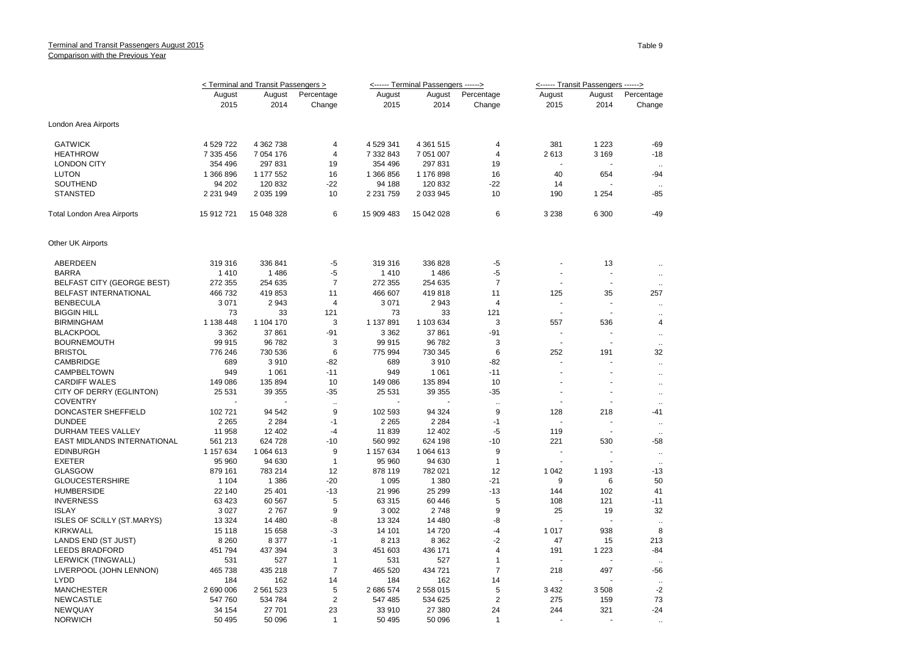|                                   | < Terminal and Transit Passengers > |            |                      |               | <------ Terminal Passengers ------> |                      | <------ Transit Passengers ------> |                          |                      |
|-----------------------------------|-------------------------------------|------------|----------------------|---------------|-------------------------------------|----------------------|------------------------------------|--------------------------|----------------------|
|                                   | August                              | August     | Percentage           | August        | August                              | Percentage           | August                             | August                   | Percentage           |
|                                   | 2015                                | 2014       | Change               | 2015          | 2014                                | Change               | 2015                               | 2014                     | Change               |
| London Area Airports              |                                     |            |                      |               |                                     |                      |                                    |                          |                      |
| <b>GATWICK</b>                    | 4 529 722                           | 4 362 738  | $\overline{4}$       | 4 529 341     | 4 3 61 51 5                         | 4                    | 381                                | 1 2 2 3                  | -69                  |
| <b>HEATHROW</b>                   | 7 335 456                           | 7 054 176  | 4                    | 7 332 843     | 7 051 007                           | 4                    | 2613                               | 3 1 6 9                  | $-18$                |
| <b>LONDON CITY</b>                | 354 496                             | 297 831    | 19                   | 354 496       | 297 831                             | 19                   |                                    |                          |                      |
| <b>LUTON</b>                      | 1 366 896                           | 1 177 552  | 16                   | 1 366 856     | 1 176 898                           | 16                   | 40                                 | 654                      | $-94$                |
| SOUTHEND                          | 94 202                              | 120 832    | $-22$                | 94 188        | 120 832                             | $-22$                | 14                                 |                          |                      |
| <b>STANSTED</b>                   | 2 2 3 1 9 4 9                       | 2 035 199  | 10                   | 2 2 3 1 7 5 9 | 2 0 3 9 4 5                         | 10                   | 190                                | 1 2 5 4                  | -85                  |
| Total London Area Airports        | 15 912 721                          | 15 048 328 | 6                    | 15 909 483    | 15 042 028                          | 6                    | 3 2 3 8                            | 6 300                    | $-49$                |
| Other UK Airports                 |                                     |            |                      |               |                                     |                      |                                    |                          |                      |
| ABERDEEN                          | 319 316                             | 336 841    | $-5$                 | 319 316       | 336 828                             | $-5$                 |                                    | 13                       | $\ddotsc$            |
| <b>BARRA</b>                      | 1410                                | 1 4 8 6    | -5                   | 1410          | 1 4 8 6                             | $-5$                 |                                    |                          | $\ddotsc$            |
| <b>BELFAST CITY (GEORGE BEST)</b> | 272 355                             | 254 635    | $\overline{7}$       | 272 355       | 254 635                             | $\overline{7}$       | ÷.                                 | $\overline{\phantom{a}}$ |                      |
| <b>BELFAST INTERNATIONAL</b>      | 466732                              | 419853     | 11                   | 466 607       | 419818                              | 11                   | 125                                | 35                       | 257                  |
| <b>BENBECULA</b>                  | 3 0 7 1                             | 2943       | $\overline{4}$       | 3 0 7 1       | 2943                                | 4                    |                                    |                          | $\mathbf{r}$         |
| <b>BIGGIN HILL</b>                | 73                                  | 33         | 121                  | 73            | 33                                  | 121                  |                                    |                          | $\ddot{\phantom{0}}$ |
| <b>BIRMINGHAM</b>                 | 1 138 448                           | 1 104 170  | 3                    | 1 137 891     | 1 103 634                           | 3                    | 557                                | 536                      | $\overline{4}$       |
| <b>BLACKPOOL</b>                  | 3 3 6 2                             | 37 861     | $-91$                | 3 3 6 2       | 37 861                              | -91                  |                                    |                          | $\ddot{\phantom{a}}$ |
| <b>BOURNEMOUTH</b>                | 99 915                              | 96 782     | 3                    | 99 915        | 96 782                              | 3                    |                                    |                          | $\ddotsc$            |
| <b>BRISTOL</b>                    | 776 246                             | 730 536    | 6                    | 775 994       | 730 345                             | 6                    | 252                                | 191                      | 32                   |
| <b>CAMBRIDGE</b>                  | 689                                 | 3910       | -82                  | 689           | 3910                                | $-82$                |                                    |                          | $\ddot{\phantom{a}}$ |
| CAMPBELTOWN                       | 949                                 | 1 0 6 1    | $-11$                | 949           | 1 0 6 1                             | $-11$                | $\overline{a}$                     | $\overline{a}$           | $\mathbf{r}$         |
| <b>CARDIFF WALES</b>              | 149 086                             | 135 894    | 10                   | 149 086       | 135 894                             | 10                   |                                    |                          | $\ddot{\phantom{a}}$ |
| CITY OF DERRY (EGLINTON)          | 25 5 31                             | 39 355     | $-35$                | 25 5 31       | 39 355                              | $-35$                |                                    | $\blacksquare$           | $\mathbf{r}$         |
| <b>COVENTRY</b>                   |                                     |            | $\ddot{\phantom{a}}$ |               |                                     | $\ddot{\phantom{a}}$ |                                    |                          | $\ddot{\phantom{a}}$ |
| DONCASTER SHEFFIELD               | 102 721                             | 94 542     | 9                    | 102 593       | 94 324                              | 9                    | 128                                | 218                      | -41                  |
| <b>DUNDEE</b>                     | 2 2 6 5                             | 2 2 8 4    | $-1$                 | 2 2 6 5       | 2 2 8 4                             | $-1$                 |                                    |                          | $\ddot{\phantom{a}}$ |
| DURHAM TEES VALLEY                | 11 958                              | 12 402     | $-4$                 | 11839         | 12 402                              | -5                   | 119                                |                          | $\ddot{\phantom{a}}$ |
| EAST MIDLANDS INTERNATIONAL       | 561 213                             | 624 728    | $-10$                | 560 992       | 624 198                             | $-10$                | 221                                | 530                      | -58                  |
| <b>EDINBURGH</b>                  | 1 157 634                           | 1 064 613  | 9                    | 1 157 634     | 1 064 613                           | 9                    |                                    |                          | $\ddot{\phantom{a}}$ |
| <b>EXETER</b>                     | 95 960                              | 94 630     | $\mathbf{1}$         | 95 960        | 94 630                              | $\overline{1}$       |                                    |                          | $\ddot{\phantom{a}}$ |
| <b>GLASGOW</b>                    | 879 161                             | 783 214    | 12                   | 878 119       | 782 021                             | 12                   | 1 0 4 2                            | 1 1 9 3                  | $-13$                |
| <b>GLOUCESTERSHIRE</b>            | 1 1 0 4                             | 1 3 8 6    | $-20$                | 1 0 9 5       | 1 3 8 0                             | $-21$                | 9                                  | 6                        | 50                   |
| <b>HUMBERSIDE</b>                 | 22 140                              | 25 401     | $-13$                | 21 996        | 25 299                              | $-13$                | 144                                | 102                      | 41                   |
| <b>INVERNESS</b>                  | 63 4 23                             | 60 567     | 5                    | 63 315        | 60 446                              | 5                    | 108                                | 121                      | $-11$                |
| <b>ISLAY</b>                      | 3 0 2 7                             | 2767       | 9                    | 3 0 0 2       | 2748                                | 9                    | 25                                 | 19                       | 32                   |
| <b>ISLES OF SCILLY (ST.MARYS)</b> | 13 3 24                             | 14 480     | -8                   | 13 3 24       | 14 480                              | -8                   |                                    |                          | $\ddot{\phantom{a}}$ |
| <b>KIRKWALL</b>                   | 15 118                              | 15 658     | $-3$                 | 14 101        | 14 720                              | $-4$                 | 1017                               | 938                      | 8                    |
| LANDS END (ST JUST)               | 8 2 6 0                             | 8 3 7 7    | $-1$                 | 8 2 1 3       | 8 3 6 2                             | $-2$                 | 47                                 | 15                       | 213                  |
| <b>LEEDS BRADFORD</b>             | 451 794                             | 437 394    | 3                    | 451 603       | 436 171                             | 4                    | 191                                | 1 2 2 3                  | -84                  |
| LERWICK (TINGWALL)                | 531                                 | 527        | $\mathbf{1}$         | 531           | 527                                 | $\mathbf{1}$         |                                    |                          | $\sim$               |
| LIVERPOOL (JOHN LENNON)           | 465 738                             | 435 218    | $\overline{7}$       | 465 520       | 434 721                             | $\overline{7}$       | 218                                | 497                      | -56                  |
| <b>LYDD</b>                       | 184                                 | 162        | 14                   | 184           | 162                                 | 14                   |                                    |                          | $\ddotsc$            |
| <b>MANCHESTER</b>                 | 2 690 006                           | 2 561 523  | 5                    | 2 686 574     | 2 558 015                           | 5                    | 3 4 3 2                            | 3508                     | $-2$                 |
| <b>NEWCASTLE</b>                  | 547 760                             | 534 784    | $\overline{2}$       | 547 485       | 534 625                             | $\overline{2}$       | 275                                | 159                      | 73                   |
| NEWQUAY                           | 34 154                              | 27 701     | 23                   | 33 910        | 27 380                              | 24                   | 244                                | 321                      | $-24$                |
| <b>NORWICH</b>                    | 50 495                              | 50 096     | $\mathbf{1}$         | 50 495        | 50 096                              | $\overline{1}$       |                                    |                          |                      |